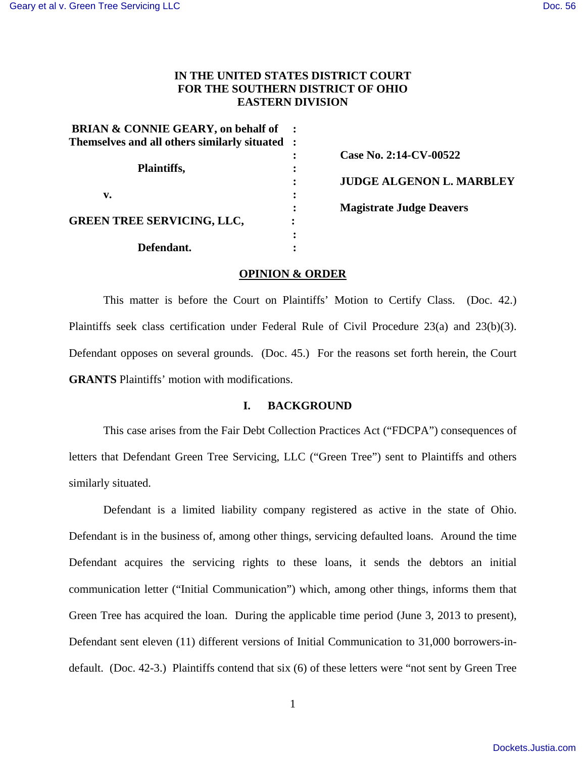# **IN THE UNITED STATES DISTRICT COURT FOR THE SOUTHERN DISTRICT OF OHIO EASTERN DIVISION**

| <b>BRIAN &amp; CONNIE GEARY, on behalf of</b> |           |                                 |
|-----------------------------------------------|-----------|---------------------------------|
| Themselves and all others similarly situated  |           |                                 |
| Plaintiffs,                                   |           | Case No. 2:14-CV-00522          |
|                                               |           |                                 |
|                                               |           | <b>JUDGE ALGENON L. MARBLEY</b> |
| v.                                            | $\bullet$ |                                 |
|                                               |           | <b>Magistrate Judge Deavers</b> |
| <b>GREEN TREE SERVICING, LLC,</b>             |           |                                 |
|                                               |           |                                 |
| Defendant.                                    |           |                                 |

## **OPINION & ORDER**

This matter is before the Court on Plaintiffs' Motion to Certify Class. (Doc. 42.) Plaintiffs seek class certification under Federal Rule of Civil Procedure 23(a) and 23(b)(3). Defendant opposes on several grounds. (Doc. 45.) For the reasons set forth herein, the Court **GRANTS** Plaintiffs' motion with modifications.

## **I. BACKGROUND**

This case arises from the Fair Debt Collection Practices Act ("FDCPA") consequences of letters that Defendant Green Tree Servicing, LLC ("Green Tree") sent to Plaintiffs and others similarly situated.

Defendant is a limited liability company registered as active in the state of Ohio. Defendant is in the business of, among other things, servicing defaulted loans. Around the time Defendant acquires the servicing rights to these loans, it sends the debtors an initial communication letter ("Initial Communication") which, among other things, informs them that Green Tree has acquired the loan. During the applicable time period (June 3, 2013 to present), Defendant sent eleven (11) different versions of Initial Communication to 31,000 borrowers-indefault. (Doc. 42-3.) Plaintiffs contend that six (6) of these letters were "not sent by Green Tree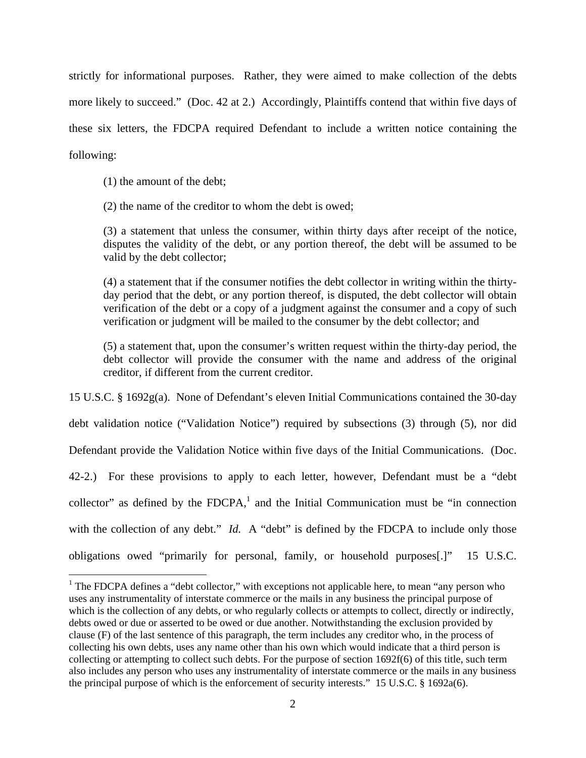strictly for informational purposes. Rather, they were aimed to make collection of the debts more likely to succeed." (Doc. 42 at 2.) Accordingly, Plaintiffs contend that within five days of these six letters, the FDCPA required Defendant to include a written notice containing the following:

(1) the amount of the debt;

 $\overline{a}$ 

(2) the name of the creditor to whom the debt is owed;

(3) a statement that unless the consumer, within thirty days after receipt of the notice, disputes the validity of the debt, or any portion thereof, the debt will be assumed to be valid by the debt collector;

(4) a statement that if the consumer notifies the debt collector in writing within the thirtyday period that the debt, or any portion thereof, is disputed, the debt collector will obtain verification of the debt or a copy of a judgment against the consumer and a copy of such verification or judgment will be mailed to the consumer by the debt collector; and

(5) a statement that, upon the consumer's written request within the thirty-day period, the debt collector will provide the consumer with the name and address of the original creditor, if different from the current creditor.

15 U.S.C. § 1692g(a). None of Defendant's eleven Initial Communications contained the 30-day debt validation notice ("Validation Notice") required by subsections (3) through (5), nor did Defendant provide the Validation Notice within five days of the Initial Communications. (Doc. 42-2.) For these provisions to apply to each letter, however, Defendant must be a "debt collector" as defined by the  $FDCPA$ ,<sup>1</sup> and the Initial Communication must be "in connection with the collection of any debt." *Id.* A "debt" is defined by the FDCPA to include only those obligations owed "primarily for personal, family, or household purposes[.]" 15 U.S.C.

 $1$  The FDCPA defines a "debt collector," with exceptions not applicable here, to mean "any person who uses any instrumentality of interstate commerce or the mails in any business the principal purpose of which is the collection of any debts, or who regularly collects or attempts to collect, directly or indirectly, debts owed or due or asserted to be owed or due another. Notwithstanding the exclusion provided by clause (F) of the last sentence of this paragraph, the term includes any creditor who, in the process of collecting his own debts, uses any name other than his own which would indicate that a third person is collecting or attempting to collect such debts. For the purpose of section 1692f(6) of this title, such term also includes any person who uses any instrumentality of interstate commerce or the mails in any business the principal purpose of which is the enforcement of security interests." 15 U.S.C. § 1692a(6).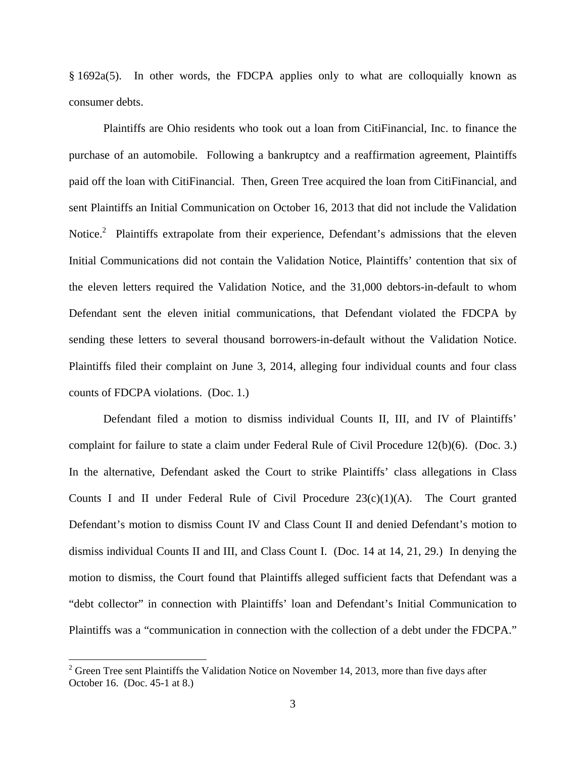§ 1692a(5). In other words, the FDCPA applies only to what are colloquially known as consumer debts.

Plaintiffs are Ohio residents who took out a loan from CitiFinancial, Inc. to finance the purchase of an automobile. Following a bankruptcy and a reaffirmation agreement, Plaintiffs paid off the loan with CitiFinancial. Then, Green Tree acquired the loan from CitiFinancial, and sent Plaintiffs an Initial Communication on October 16, 2013 that did not include the Validation Notice.<sup>2</sup> Plaintiffs extrapolate from their experience, Defendant's admissions that the eleven Initial Communications did not contain the Validation Notice, Plaintiffs' contention that six of the eleven letters required the Validation Notice, and the 31,000 debtors-in-default to whom Defendant sent the eleven initial communications, that Defendant violated the FDCPA by sending these letters to several thousand borrowers-in-default without the Validation Notice. Plaintiffs filed their complaint on June 3, 2014, alleging four individual counts and four class counts of FDCPA violations. (Doc. 1.)

Defendant filed a motion to dismiss individual Counts II, III, and IV of Plaintiffs' complaint for failure to state a claim under Federal Rule of Civil Procedure 12(b)(6). (Doc. 3.) In the alternative, Defendant asked the Court to strike Plaintiffs' class allegations in Class Counts I and II under Federal Rule of Civil Procedure  $23(c)(1)(A)$ . The Court granted Defendant's motion to dismiss Count IV and Class Count II and denied Defendant's motion to dismiss individual Counts II and III, and Class Count I. (Doc. 14 at 14, 21, 29.) In denying the motion to dismiss, the Court found that Plaintiffs alleged sufficient facts that Defendant was a "debt collector" in connection with Plaintiffs' loan and Defendant's Initial Communication to Plaintiffs was a "communication in connection with the collection of a debt under the FDCPA."

<u>.</u>

 $2^{2}$  Green Tree sent Plaintiffs the Validation Notice on November 14, 2013, more than five days after October 16. (Doc. 45-1 at 8.)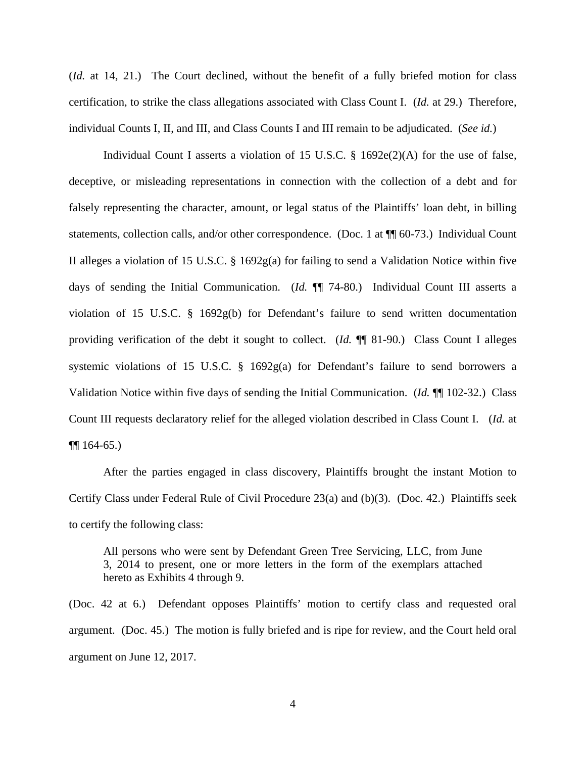(*Id.* at 14, 21.) The Court declined, without the benefit of a fully briefed motion for class certification, to strike the class allegations associated with Class Count I. (*Id.* at 29.) Therefore, individual Counts I, II, and III, and Class Counts I and III remain to be adjudicated. (*See id.*)

Individual Count I asserts a violation of 15 U.S.C. § 1692e(2)(A) for the use of false, deceptive, or misleading representations in connection with the collection of a debt and for falsely representing the character, amount, or legal status of the Plaintiffs' loan debt, in billing statements, collection calls, and/or other correspondence. (Doc. 1 at ¶¶ 60-73.) Individual Count II alleges a violation of 15 U.S.C. § 1692g(a) for failing to send a Validation Notice within five days of sending the Initial Communication. (*Id.* ¶¶ 74-80.) Individual Count III asserts a violation of 15 U.S.C. § 1692g(b) for Defendant's failure to send written documentation providing verification of the debt it sought to collect. (*Id.* ¶¶ 81-90.) Class Count I alleges systemic violations of 15 U.S.C. § 1692g(a) for Defendant's failure to send borrowers a Validation Notice within five days of sending the Initial Communication. (*Id.* ¶¶ 102-32.) Class Count III requests declaratory relief for the alleged violation described in Class Count I. (*Id.* at  $\P\P$  164-65.)

After the parties engaged in class discovery, Plaintiffs brought the instant Motion to Certify Class under Federal Rule of Civil Procedure 23(a) and (b)(3). (Doc. 42.) Plaintiffs seek to certify the following class:

All persons who were sent by Defendant Green Tree Servicing, LLC, from June 3, 2014 to present, one or more letters in the form of the exemplars attached hereto as Exhibits 4 through 9.

(Doc. 42 at 6.) Defendant opposes Plaintiffs' motion to certify class and requested oral argument. (Doc. 45.) The motion is fully briefed and is ripe for review, and the Court held oral argument on June 12, 2017.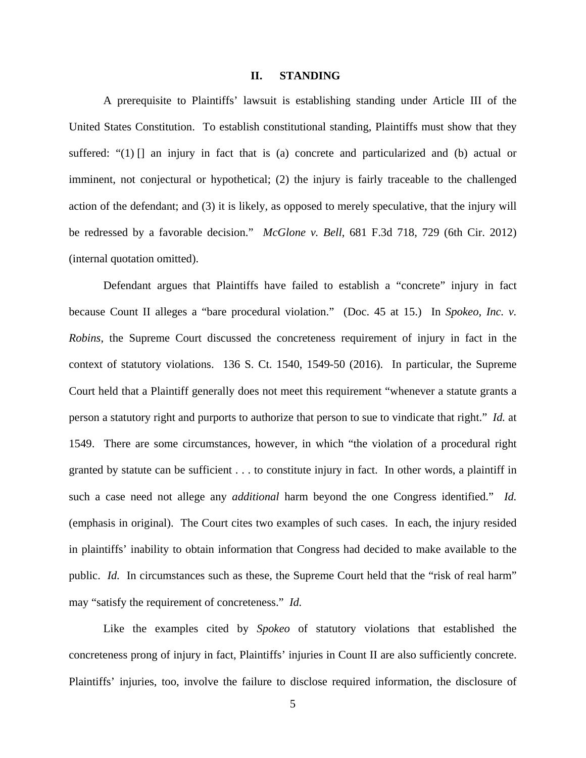#### **II. STANDING**

A prerequisite to Plaintiffs' lawsuit is establishing standing under Article III of the United States Constitution. To establish constitutional standing, Plaintiffs must show that they suffered: " $(1)$  [] an injury in fact that is (a) concrete and particularized and (b) actual or imminent, not conjectural or hypothetical; (2) the injury is fairly traceable to the challenged action of the defendant; and (3) it is likely, as opposed to merely speculative, that the injury will be redressed by a favorable decision." *McGlone v. Bell*, 681 F.3d 718, 729 (6th Cir. 2012) (internal quotation omitted).

Defendant argues that Plaintiffs have failed to establish a "concrete" injury in fact because Count II alleges a "bare procedural violation." (Doc. 45 at 15.) In *Spokeo, Inc. v. Robins*, the Supreme Court discussed the concreteness requirement of injury in fact in the context of statutory violations. 136 S. Ct. 1540, 1549-50 (2016). In particular, the Supreme Court held that a Plaintiff generally does not meet this requirement "whenever a statute grants a person a statutory right and purports to authorize that person to sue to vindicate that right." *Id.* at 1549. There are some circumstances, however, in which "the violation of a procedural right granted by statute can be sufficient . . . to constitute injury in fact. In other words, a plaintiff in such a case need not allege any *additional* harm beyond the one Congress identified." *Id.* (emphasis in original). The Court cites two examples of such cases. In each, the injury resided in plaintiffs' inability to obtain information that Congress had decided to make available to the public. *Id.* In circumstances such as these, the Supreme Court held that the "risk of real harm" may "satisfy the requirement of concreteness." *Id.*

Like the examples cited by *Spokeo* of statutory violations that established the concreteness prong of injury in fact, Plaintiffs' injuries in Count II are also sufficiently concrete. Plaintiffs' injuries, too, involve the failure to disclose required information, the disclosure of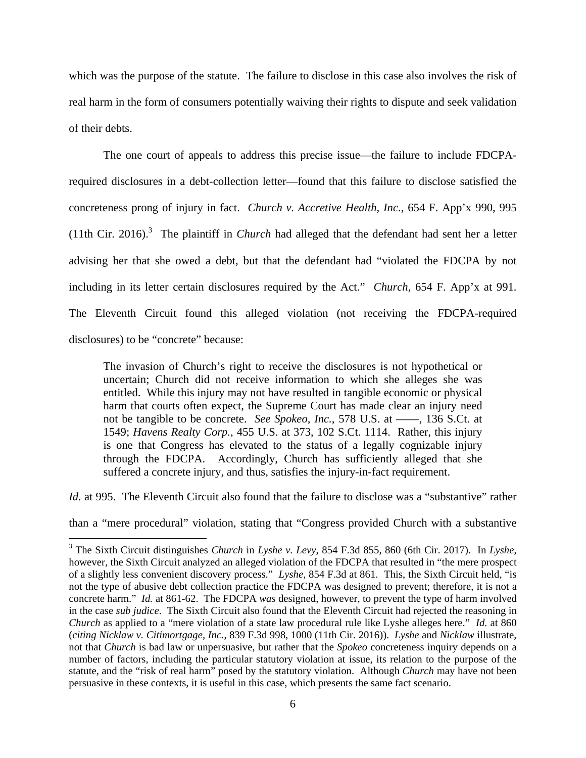which was the purpose of the statute. The failure to disclose in this case also involves the risk of real harm in the form of consumers potentially waiving their rights to dispute and seek validation of their debts.

The one court of appeals to address this precise issue—the failure to include FDCPArequired disclosures in a debt-collection letter—found that this failure to disclose satisfied the concreteness prong of injury in fact. *Church v. Accretive Health, Inc*., 654 F. App'x 990, 995  $(11th$  Cir. 2016).<sup>3</sup> The plaintiff in *Church* had alleged that the defendant had sent her a letter advising her that she owed a debt, but that the defendant had "violated the FDCPA by not including in its letter certain disclosures required by the Act." *Church*, 654 F. App'x at 991. The Eleventh Circuit found this alleged violation (not receiving the FDCPA-required disclosures) to be "concrete" because:

The invasion of Church's right to receive the disclosures is not hypothetical or uncertain; Church did not receive information to which she alleges she was entitled. While this injury may not have resulted in tangible economic or physical harm that courts often expect, the Supreme Court has made clear an injury need not be tangible to be concrete. *See Spokeo, Inc.*, 578 U.S. at ——, 136 S.Ct. at 1549; *Havens Realty Corp.*, 455 U.S. at 373, 102 S.Ct. 1114. Rather, this injury is one that Congress has elevated to the status of a legally cognizable injury through the FDCPA. Accordingly, Church has sufficiently alleged that she suffered a concrete injury, and thus, satisfies the injury-in-fact requirement.

*Id.* at 995. The Eleventh Circuit also found that the failure to disclose was a "substantive" rather

than a "mere procedural" violation, stating that "Congress provided Church with a substantive

 3 The Sixth Circuit distinguishes *Church* in *Lyshe v. Levy*, 854 F.3d 855, 860 (6th Cir. 2017). In *Lyshe*, however, the Sixth Circuit analyzed an alleged violation of the FDCPA that resulted in "the mere prospect of a slightly less convenient discovery process." *Lyshe*, 854 F.3d at 861. This, the Sixth Circuit held, "is not the type of abusive debt collection practice the FDCPA was designed to prevent; therefore, it is not a concrete harm." *Id.* at 861-62. The FDCPA *was* designed, however, to prevent the type of harm involved in the case *sub judice*. The Sixth Circuit also found that the Eleventh Circuit had rejected the reasoning in *Church* as applied to a "mere violation of a state law procedural rule like Lyshe alleges here." *Id.* at 860 (*citing Nicklaw v. Citimortgage, Inc.*, 839 F.3d 998, 1000 (11th Cir. 2016)). *Lyshe* and *Nicklaw* illustrate, not that *Church* is bad law or unpersuasive, but rather that the *Spokeo* concreteness inquiry depends on a number of factors, including the particular statutory violation at issue, its relation to the purpose of the statute, and the "risk of real harm" posed by the statutory violation. Although *Church* may have not been persuasive in these contexts, it is useful in this case, which presents the same fact scenario.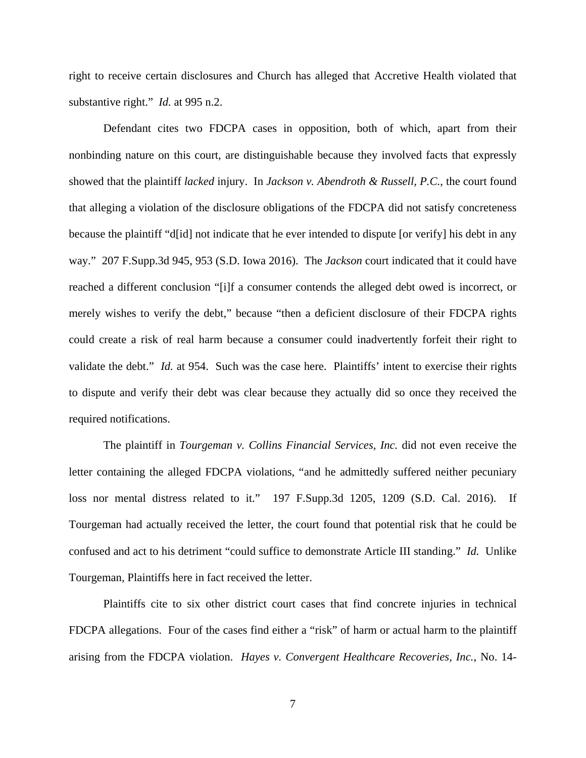right to receive certain disclosures and Church has alleged that Accretive Health violated that substantive right." *Id.* at 995 n.2.

Defendant cites two FDCPA cases in opposition, both of which, apart from their nonbinding nature on this court, are distinguishable because they involved facts that expressly showed that the plaintiff *lacked* injury. In *Jackson v. Abendroth & Russell, P.C.*, the court found that alleging a violation of the disclosure obligations of the FDCPA did not satisfy concreteness because the plaintiff "d[id] not indicate that he ever intended to dispute [or verify] his debt in any way." 207 F.Supp.3d 945, 953 (S.D. Iowa 2016). The *Jackson* court indicated that it could have reached a different conclusion "[i]f a consumer contends the alleged debt owed is incorrect, or merely wishes to verify the debt," because "then a deficient disclosure of their FDCPA rights could create a risk of real harm because a consumer could inadvertently forfeit their right to validate the debt." *Id.* at 954. Such was the case here. Plaintiffs' intent to exercise their rights to dispute and verify their debt was clear because they actually did so once they received the required notifications.

The plaintiff in *Tourgeman v. Collins Financial Services, Inc.* did not even receive the letter containing the alleged FDCPA violations, "and he admittedly suffered neither pecuniary loss nor mental distress related to it." 197 F.Supp.3d 1205, 1209 (S.D. Cal. 2016). If Tourgeman had actually received the letter, the court found that potential risk that he could be confused and act to his detriment "could suffice to demonstrate Article III standing." *Id.* Unlike Tourgeman, Plaintiffs here in fact received the letter.

Plaintiffs cite to six other district court cases that find concrete injuries in technical FDCPA allegations. Four of the cases find either a "risk" of harm or actual harm to the plaintiff arising from the FDCPA violation. *Hayes v. Convergent Healthcare Recoveries, Inc.*, No. 14-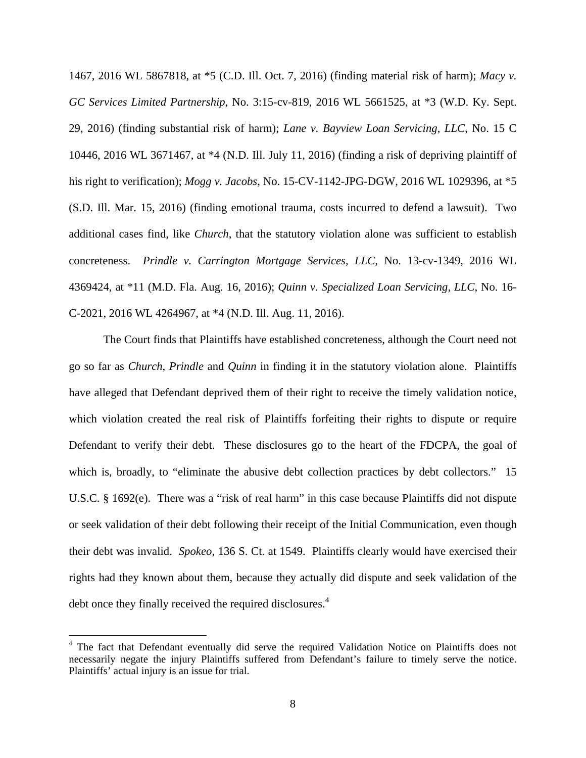1467, 2016 WL 5867818, at \*5 (C.D. Ill. Oct. 7, 2016) (finding material risk of harm); *Macy v. GC Services Limited Partnership*, No. 3:15-cv-819, 2016 WL 5661525, at \*3 (W.D. Ky. Sept. 29, 2016) (finding substantial risk of harm); *Lane v. Bayview Loan Servicing, LLC*, No. 15 C 10446, 2016 WL 3671467, at \*4 (N.D. Ill. July 11, 2016) (finding a risk of depriving plaintiff of his right to verification); *Mogg v. Jacobs*, No. 15-CV-1142-JPG-DGW, 2016 WL 1029396, at \*5 (S.D. Ill. Mar. 15, 2016) (finding emotional trauma, costs incurred to defend a lawsuit). Two additional cases find, like *Church*, that the statutory violation alone was sufficient to establish concreteness. *Prindle v. Carrington Mortgage Services, LLC*, No. 13-cv-1349, 2016 WL 4369424, at \*11 (M.D. Fla. Aug. 16, 2016); *Quinn v. Specialized Loan Servicing, LLC*, No. 16- C-2021, 2016 WL 4264967, at \*4 (N.D. Ill. Aug. 11, 2016).

The Court finds that Plaintiffs have established concreteness, although the Court need not go so far as *Church*, *Prindle* and *Quinn* in finding it in the statutory violation alone. Plaintiffs have alleged that Defendant deprived them of their right to receive the timely validation notice, which violation created the real risk of Plaintiffs forfeiting their rights to dispute or require Defendant to verify their debt. These disclosures go to the heart of the FDCPA, the goal of which is, broadly, to "eliminate the abusive debt collection practices by debt collectors." 15 U.S.C. § 1692(e). There was a "risk of real harm" in this case because Plaintiffs did not dispute or seek validation of their debt following their receipt of the Initial Communication, even though their debt was invalid. *Spokeo*, 136 S. Ct. at 1549. Plaintiffs clearly would have exercised their rights had they known about them, because they actually did dispute and seek validation of the debt once they finally received the required disclosures.<sup>4</sup>

 $\overline{a}$ 

<sup>&</sup>lt;sup>4</sup> The fact that Defendant eventually did serve the required Validation Notice on Plaintiffs does not necessarily negate the injury Plaintiffs suffered from Defendant's failure to timely serve the notice. Plaintiffs' actual injury is an issue for trial.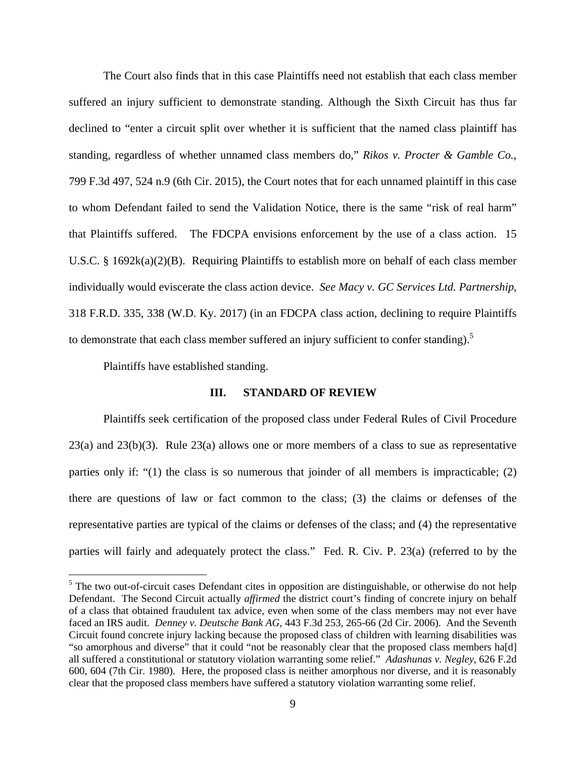The Court also finds that in this case Plaintiffs need not establish that each class member suffered an injury sufficient to demonstrate standing. Although the Sixth Circuit has thus far declined to "enter a circuit split over whether it is sufficient that the named class plaintiff has standing, regardless of whether unnamed class members do," *Rikos v. Procter & Gamble Co.*, 799 F.3d 497, 524 n.9 (6th Cir. 2015), the Court notes that for each unnamed plaintiff in this case to whom Defendant failed to send the Validation Notice, there is the same "risk of real harm" that Plaintiffs suffered. The FDCPA envisions enforcement by the use of a class action. 15 U.S.C. § 1692 $k(a)(2)(B)$ . Requiring Plaintiffs to establish more on behalf of each class member individually would eviscerate the class action device. *See Macy v. GC Services Ltd. Partnership*, 318 F.R.D. 335, 338 (W.D. Ky. 2017) (in an FDCPA class action, declining to require Plaintiffs to demonstrate that each class member suffered an injury sufficient to confer standing).<sup>5</sup>

Plaintiffs have established standing.

 $\overline{a}$ 

#### **III. STANDARD OF REVIEW**

Plaintiffs seek certification of the proposed class under Federal Rules of Civil Procedure 23(a) and 23(b)(3). Rule 23(a) allows one or more members of a class to sue as representative parties only if: " $(1)$  the class is so numerous that joinder of all members is impracticable;  $(2)$ there are questions of law or fact common to the class; (3) the claims or defenses of the representative parties are typical of the claims or defenses of the class; and (4) the representative parties will fairly and adequately protect the class." Fed. R. Civ. P. 23(a) (referred to by the

 $<sup>5</sup>$  The two out-of-circuit cases Defendant cites in opposition are distinguishable, or otherwise do not help</sup> Defendant. The Second Circuit actually *affirmed* the district court's finding of concrete injury on behalf of a class that obtained fraudulent tax advice, even when some of the class members may not ever have faced an IRS audit. *Denney v. Deutsche Bank AG*, 443 F.3d 253, 265-66 (2d Cir. 2006). And the Seventh Circuit found concrete injury lacking because the proposed class of children with learning disabilities was "so amorphous and diverse" that it could "not be reasonably clear that the proposed class members ha[d] all suffered a constitutional or statutory violation warranting some relief." *Adashunas v. Negley*, 626 F.2d 600, 604 (7th Cir. 1980). Here, the proposed class is neither amorphous nor diverse, and it is reasonably clear that the proposed class members have suffered a statutory violation warranting some relief.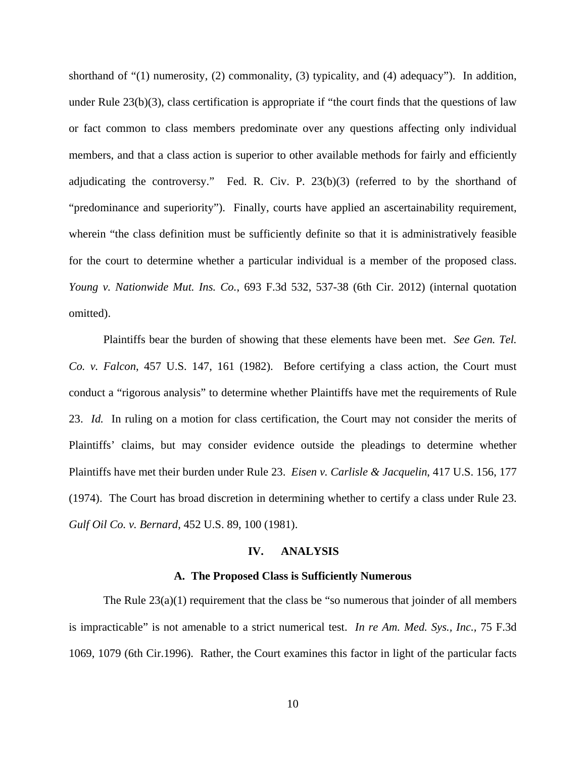shorthand of "(1) numerosity, (2) commonality, (3) typicality, and (4) adequacy"). In addition, under Rule  $23(b)(3)$ , class certification is appropriate if "the court finds that the questions of law or fact common to class members predominate over any questions affecting only individual members, and that a class action is superior to other available methods for fairly and efficiently adjudicating the controversy." Fed. R. Civ. P. 23(b)(3) (referred to by the shorthand of "predominance and superiority"). Finally, courts have applied an ascertainability requirement, wherein "the class definition must be sufficiently definite so that it is administratively feasible for the court to determine whether a particular individual is a member of the proposed class. *Young v. Nationwide Mut. Ins. Co.*, 693 F.3d 532, 537-38 (6th Cir. 2012) (internal quotation omitted).

Plaintiffs bear the burden of showing that these elements have been met. *See Gen. Tel. Co. v. Falcon*, 457 U.S. 147, 161 (1982). Before certifying a class action, the Court must conduct a "rigorous analysis" to determine whether Plaintiffs have met the requirements of Rule 23. *Id.* In ruling on a motion for class certification, the Court may not consider the merits of Plaintiffs' claims, but may consider evidence outside the pleadings to determine whether Plaintiffs have met their burden under Rule 23. *Eisen v. Carlisle & Jacquelin*, 417 U.S. 156, 177 (1974). The Court has broad discretion in determining whether to certify a class under Rule 23. *Gulf Oil Co. v. Bernard*, 452 U.S. 89, 100 (1981).

#### **IV. ANALYSIS**

## **A. The Proposed Class is Sufficiently Numerous**

The Rule  $23(a)(1)$  requirement that the class be "so numerous that joinder of all members is impracticable" is not amenable to a strict numerical test. *In re Am. Med. Sys., Inc.,* 75 F.3d 1069, 1079 (6th Cir.1996). Rather, the Court examines this factor in light of the particular facts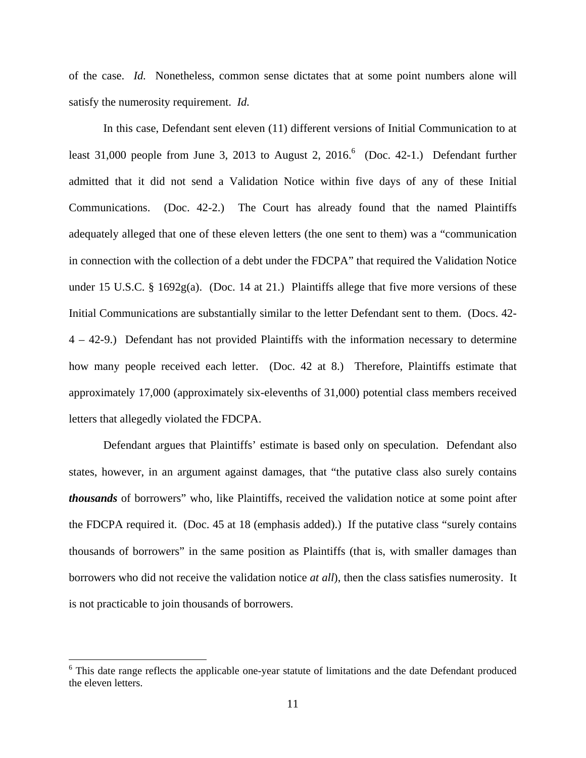of the case. *Id.* Nonetheless, common sense dictates that at some point numbers alone will satisfy the numerosity requirement. *Id.* 

In this case, Defendant sent eleven (11) different versions of Initial Communication to at least 31,000 people from June 3, 2013 to August 2, 2016.<sup>6</sup> (Doc. 42-1.) Defendant further admitted that it did not send a Validation Notice within five days of any of these Initial Communications. (Doc. 42-2.) The Court has already found that the named Plaintiffs adequately alleged that one of these eleven letters (the one sent to them) was a "communication in connection with the collection of a debt under the FDCPA" that required the Validation Notice under 15 U.S.C. § 1692g(a). (Doc. 14 at 21.) Plaintiffs allege that five more versions of these Initial Communications are substantially similar to the letter Defendant sent to them. (Docs. 42- 4 – 42-9.) Defendant has not provided Plaintiffs with the information necessary to determine how many people received each letter. (Doc. 42 at 8.) Therefore, Plaintiffs estimate that approximately 17,000 (approximately six-elevenths of 31,000) potential class members received letters that allegedly violated the FDCPA.

Defendant argues that Plaintiffs' estimate is based only on speculation. Defendant also states, however, in an argument against damages, that "the putative class also surely contains *thousands* of borrowers" who, like Plaintiffs, received the validation notice at some point after the FDCPA required it. (Doc. 45 at 18 (emphasis added).) If the putative class "surely contains thousands of borrowers" in the same position as Plaintiffs (that is, with smaller damages than borrowers who did not receive the validation notice *at all*), then the class satisfies numerosity. It is not practicable to join thousands of borrowers.

<u>.</u>

<sup>&</sup>lt;sup>6</sup> This date range reflects the applicable one-year statute of limitations and the date Defendant produced the eleven letters.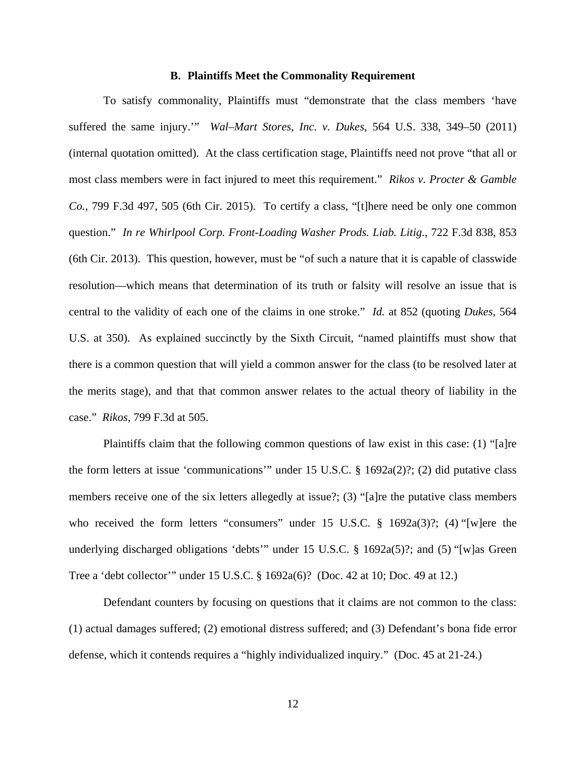#### **B. Plaintiffs Meet the Commonality Requirement**

To satisfy commonality, Plaintiffs must "demonstrate that the class members 'have suffered the same injury.'" *Wal–Mart Stores, Inc. v. Dukes*, 564 U.S. 338, 349–50 (2011) (internal quotation omitted). At the class certification stage, Plaintiffs need not prove "that all or most class members were in fact injured to meet this requirement." *Rikos v. Procter & Gamble Co.*, 799 F.3d 497, 505 (6th Cir. 2015). To certify a class, "[t]here need be only one common question." *In re Whirlpool Corp. Front-Loading Washer Prods. Liab. Litig.*, 722 F.3d 838, 853 (6th Cir. 2013). This question, however, must be "of such a nature that it is capable of classwide resolution—which means that determination of its truth or falsity will resolve an issue that is central to the validity of each one of the claims in one stroke." *Id.* at 852 (quoting *Dukes*, 564 U.S. at 350). As explained succinctly by the Sixth Circuit, "named plaintiffs must show that there is a common question that will yield a common answer for the class (to be resolved later at the merits stage), and that that common answer relates to the actual theory of liability in the case." *Rikos*, 799 F.3d at 505.

Plaintiffs claim that the following common questions of law exist in this case: (1) "[a]re the form letters at issue 'communications'" under 15 U.S.C. § 1692a(2)?; (2) did putative class members receive one of the six letters allegedly at issue?; (3) "[a]re the putative class members who received the form letters "consumers" under 15 U.S.C. § 1692a(3)?; (4) "[w]ere the underlying discharged obligations 'debts'" under 15 U.S.C. § 1692a(5)?; and (5) "[w]as Green Tree a 'debt collector'" under 15 U.S.C. § 1692a(6)? (Doc. 42 at 10; Doc. 49 at 12.)

Defendant counters by focusing on questions that it claims are not common to the class: (1) actual damages suffered; (2) emotional distress suffered; and (3) Defendant's bona fide error defense, which it contends requires a "highly individualized inquiry." (Doc. 45 at 21-24.)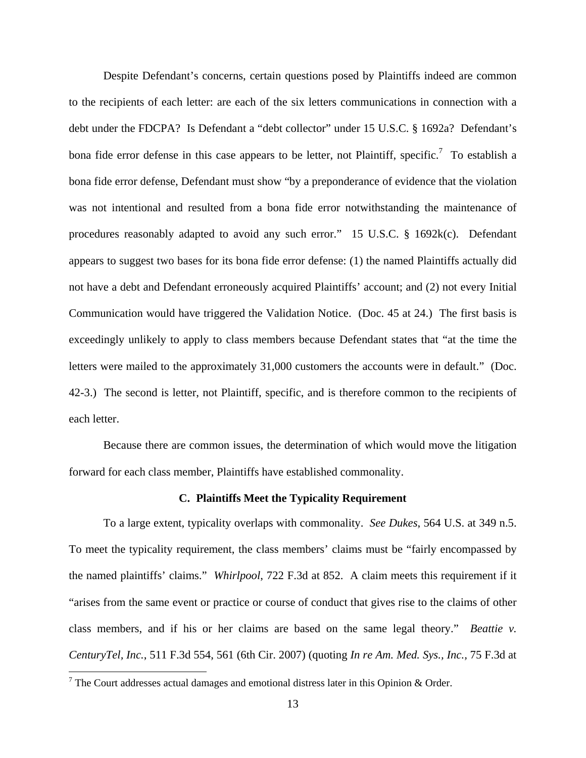Despite Defendant's concerns, certain questions posed by Plaintiffs indeed are common to the recipients of each letter: are each of the six letters communications in connection with a debt under the FDCPA? Is Defendant a "debt collector" under 15 U.S.C. § 1692a? Defendant's bona fide error defense in this case appears to be letter, not Plaintiff, specific.<sup>7</sup> To establish a bona fide error defense, Defendant must show "by a preponderance of evidence that the violation was not intentional and resulted from a bona fide error notwithstanding the maintenance of procedures reasonably adapted to avoid any such error." 15 U.S.C. § 1692k(c). Defendant appears to suggest two bases for its bona fide error defense: (1) the named Plaintiffs actually did not have a debt and Defendant erroneously acquired Plaintiffs' account; and (2) not every Initial Communication would have triggered the Validation Notice. (Doc. 45 at 24.) The first basis is exceedingly unlikely to apply to class members because Defendant states that "at the time the letters were mailed to the approximately 31,000 customers the accounts were in default." (Doc. 42-3.) The second is letter, not Plaintiff, specific, and is therefore common to the recipients of each letter.

Because there are common issues, the determination of which would move the litigation forward for each class member, Plaintiffs have established commonality.

## **C. Plaintiffs Meet the Typicality Requirement**

 To a large extent, typicality overlaps with commonality. *See Dukes*, 564 U.S. at 349 n.5. To meet the typicality requirement, the class members' claims must be "fairly encompassed by the named plaintiffs' claims." *Whirlpool*, 722 F.3d at 852. A claim meets this requirement if it "arises from the same event or practice or course of conduct that gives rise to the claims of other class members, and if his or her claims are based on the same legal theory." *Beattie v. CenturyTel, Inc.*, 511 F.3d 554, 561 (6th Cir. 2007) (quoting *In re Am. Med. Sys., Inc.,* 75 F.3d at

<sup>&</sup>lt;sup>7</sup> The Court addresses actual damages and emotional distress later in this Opinion & Order.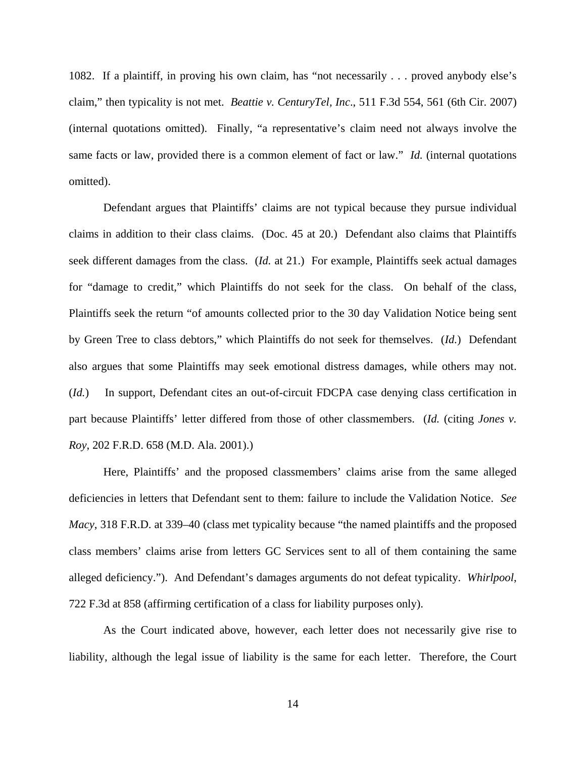1082. If a plaintiff, in proving his own claim, has "not necessarily . . . proved anybody else's claim," then typicality is not met. *Beattie v. CenturyTel, Inc*., 511 F.3d 554, 561 (6th Cir. 2007) (internal quotations omitted). Finally, "a representative's claim need not always involve the same facts or law, provided there is a common element of fact or law." *Id.* (internal quotations omitted).

Defendant argues that Plaintiffs' claims are not typical because they pursue individual claims in addition to their class claims. (Doc. 45 at 20.) Defendant also claims that Plaintiffs seek different damages from the class. (*Id.* at 21.) For example, Plaintiffs seek actual damages for "damage to credit," which Plaintiffs do not seek for the class. On behalf of the class, Plaintiffs seek the return "of amounts collected prior to the 30 day Validation Notice being sent by Green Tree to class debtors," which Plaintiffs do not seek for themselves. (*Id.*) Defendant also argues that some Plaintiffs may seek emotional distress damages, while others may not. (*Id.*) In support, Defendant cites an out-of-circuit FDCPA case denying class certification in part because Plaintiffs' letter differed from those of other classmembers. (*Id.* (citing *Jones v. Roy*, 202 F.R.D. 658 (M.D. Ala. 2001).)

Here, Plaintiffs' and the proposed classmembers' claims arise from the same alleged deficiencies in letters that Defendant sent to them: failure to include the Validation Notice. *See Macy*, 318 F.R.D. at 339–40 (class met typicality because "the named plaintiffs and the proposed class members' claims arise from letters GC Services sent to all of them containing the same alleged deficiency."). And Defendant's damages arguments do not defeat typicality. *Whirlpool*, 722 F.3d at 858 (affirming certification of a class for liability purposes only).

As the Court indicated above, however, each letter does not necessarily give rise to liability, although the legal issue of liability is the same for each letter. Therefore, the Court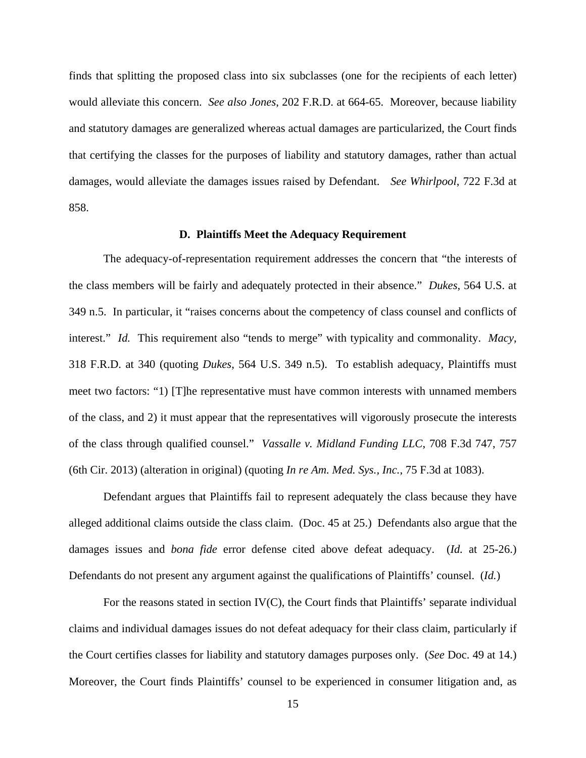finds that splitting the proposed class into six subclasses (one for the recipients of each letter) would alleviate this concern. *See also Jones*, 202 F.R.D. at 664-65. Moreover, because liability and statutory damages are generalized whereas actual damages are particularized, the Court finds that certifying the classes for the purposes of liability and statutory damages, rather than actual damages, would alleviate the damages issues raised by Defendant. *See Whirlpool*, 722 F.3d at 858.

#### **D. Plaintiffs Meet the Adequacy Requirement**

The adequacy-of-representation requirement addresses the concern that "the interests of the class members will be fairly and adequately protected in their absence." *Dukes*, 564 U.S. at 349 n.5. In particular, it "raises concerns about the competency of class counsel and conflicts of interest." *Id.* This requirement also "tends to merge" with typicality and commonality. *Macy*, 318 F.R.D. at 340 (quoting *Dukes*, 564 U.S. 349 n.5). To establish adequacy, Plaintiffs must meet two factors: "1) [T]he representative must have common interests with unnamed members of the class, and 2) it must appear that the representatives will vigorously prosecute the interests of the class through qualified counsel." *Vassalle v. Midland Funding LLC*, 708 F.3d 747, 757 (6th Cir. 2013) (alteration in original) (quoting *In re Am. Med. Sys., Inc.*, 75 F.3d at 1083).

Defendant argues that Plaintiffs fail to represent adequately the class because they have alleged additional claims outside the class claim. (Doc. 45 at 25.) Defendants also argue that the damages issues and *bona fide* error defense cited above defeat adequacy. (*Id.* at 25-26.) Defendants do not present any argument against the qualifications of Plaintiffs' counsel. (*Id.*)

For the reasons stated in section IV(C), the Court finds that Plaintiffs' separate individual claims and individual damages issues do not defeat adequacy for their class claim, particularly if the Court certifies classes for liability and statutory damages purposes only. (*See* Doc. 49 at 14.) Moreover, the Court finds Plaintiffs' counsel to be experienced in consumer litigation and, as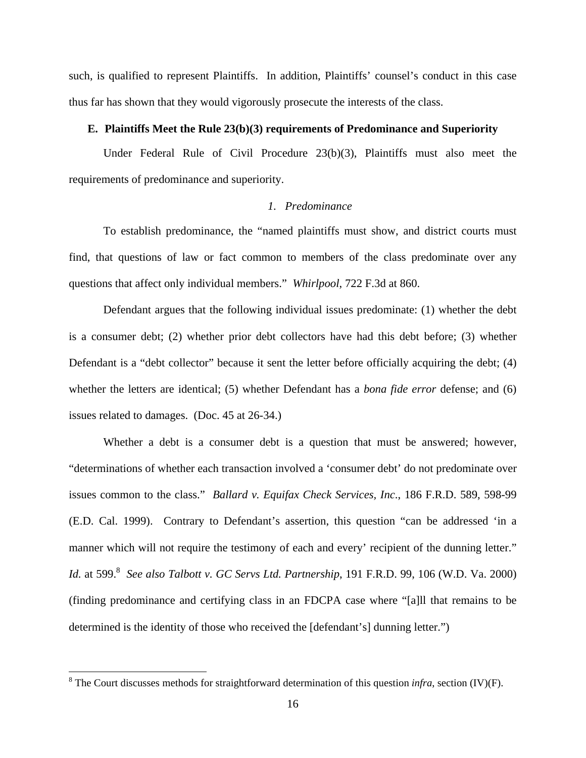such, is qualified to represent Plaintiffs. In addition, Plaintiffs' counsel's conduct in this case thus far has shown that they would vigorously prosecute the interests of the class.

## **E. Plaintiffs Meet the Rule 23(b)(3) requirements of Predominance and Superiority**

Under Federal Rule of Civil Procedure 23(b)(3), Plaintiffs must also meet the requirements of predominance and superiority.

## *1. Predominance*

To establish predominance, the "named plaintiffs must show, and district courts must find, that questions of law or fact common to members of the class predominate over any questions that affect only individual members." *Whirlpool*, 722 F.3d at 860.

Defendant argues that the following individual issues predominate: (1) whether the debt is a consumer debt; (2) whether prior debt collectors have had this debt before; (3) whether Defendant is a "debt collector" because it sent the letter before officially acquiring the debt; (4) whether the letters are identical; (5) whether Defendant has a *bona fide error* defense; and (6) issues related to damages. (Doc. 45 at 26-34.)

Whether a debt is a consumer debt is a question that must be answered; however, "determinations of whether each transaction involved a 'consumer debt' do not predominate over issues common to the class." *Ballard v. Equifax Check Services, Inc*., 186 F.R.D. 589, 598-99 (E.D. Cal. 1999). Contrary to Defendant's assertion, this question "can be addressed 'in a manner which will not require the testimony of each and every' recipient of the dunning letter." *Id.* at 599.<sup>8</sup> See also Talbott v. GC Servs Ltd. Partnership, 191 F.R.D. 99, 106 (W.D. Va. 2000) (finding predominance and certifying class in an FDCPA case where "[a]ll that remains to be determined is the identity of those who received the [defendant's] dunning letter.")

<sup>&</sup>lt;sup>8</sup> The Court discusses methods for straightforward determination of this question *infra*, section (IV)(F).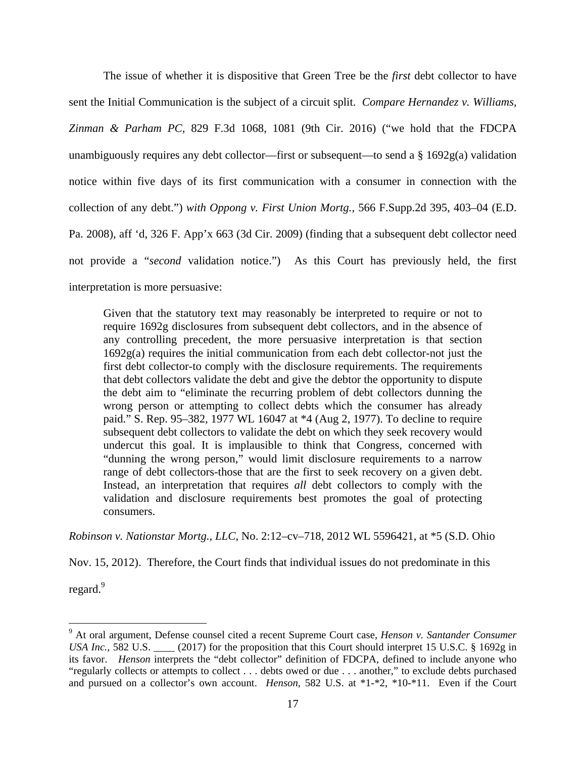The issue of whether it is dispositive that Green Tree be the *first* debt collector to have sent the Initial Communication is the subject of a circuit split. *Compare Hernandez v. Williams, Zinman & Parham PC*, 829 F.3d 1068, 1081 (9th Cir. 2016) ("we hold that the FDCPA unambiguously requires any debt collector—first or subsequent—to send a § 1692g(a) validation notice within five days of its first communication with a consumer in connection with the collection of any debt.") *with Oppong v. First Union Mortg.,* 566 F.Supp.2d 395, 403–04 (E.D. Pa. 2008), aff 'd, 326 F. App'x 663 (3d Cir. 2009) (finding that a subsequent debt collector need not provide a "*second* validation notice.") As this Court has previously held, the first interpretation is more persuasive:

Given that the statutory text may reasonably be interpreted to require or not to require 1692g disclosures from subsequent debt collectors, and in the absence of any controlling precedent, the more persuasive interpretation is that section 1692g(a) requires the initial communication from each debt collector-not just the first debt collector-to comply with the disclosure requirements. The requirements that debt collectors validate the debt and give the debtor the opportunity to dispute the debt aim to "eliminate the recurring problem of debt collectors dunning the wrong person or attempting to collect debts which the consumer has already paid." S. Rep. 95–382, 1977 WL 16047 at \*4 (Aug 2, 1977). To decline to require subsequent debt collectors to validate the debt on which they seek recovery would undercut this goal. It is implausible to think that Congress, concerned with "dunning the wrong person," would limit disclosure requirements to a narrow range of debt collectors-those that are the first to seek recovery on a given debt. Instead, an interpretation that requires *all* debt collectors to comply with the validation and disclosure requirements best promotes the goal of protecting consumers.

*Robinson v. Nationstar Mortg., LLC*, No. 2:12–cv–718, 2012 WL 5596421, at \*5 (S.D. Ohio

Nov. 15, 2012). Therefore, the Court finds that individual issues do not predominate in this

regard.<sup>9</sup>

-

<sup>9</sup> At oral argument, Defense counsel cited a recent Supreme Court case, *Henson v. Santander Consumer USA Inc.*, 582 U.S. \_\_\_\_\_ (2017) for the proposition that this Court should interpret 15 U.S.C. § 1692g in its favor. *Henson* interprets the "debt collector" definition of FDCPA, defined to include anyone who "regularly collects or attempts to collect . . . debts owed or due . . . another," to exclude debts purchased and pursued on a collector's own account. *Henson*, 582 U.S. at \*1-\*2, \*10-\*11. Even if the Court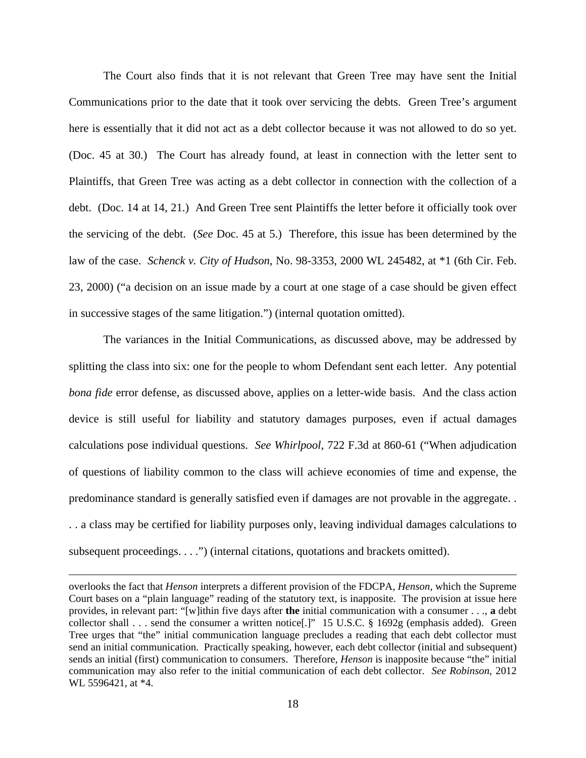The Court also finds that it is not relevant that Green Tree may have sent the Initial Communications prior to the date that it took over servicing the debts. Green Tree's argument here is essentially that it did not act as a debt collector because it was not allowed to do so yet. (Doc. 45 at 30.) The Court has already found, at least in connection with the letter sent to Plaintiffs, that Green Tree was acting as a debt collector in connection with the collection of a debt. (Doc. 14 at 14, 21.) And Green Tree sent Plaintiffs the letter before it officially took over the servicing of the debt. (*See* Doc. 45 at 5.) Therefore, this issue has been determined by the law of the case. *Schenck v. City of Hudson*, No. 98-3353, 2000 WL 245482, at \*1 (6th Cir. Feb. 23, 2000) ("a decision on an issue made by a court at one stage of a case should be given effect in successive stages of the same litigation.") (internal quotation omitted).

The variances in the Initial Communications, as discussed above, may be addressed by splitting the class into six: one for the people to whom Defendant sent each letter. Any potential *bona fide* error defense, as discussed above, applies on a letter-wide basis. And the class action device is still useful for liability and statutory damages purposes, even if actual damages calculations pose individual questions. *See Whirlpool*, 722 F.3d at 860-61 ("When adjudication of questions of liability common to the class will achieve economies of time and expense, the predominance standard is generally satisfied even if damages are not provable in the aggregate. . . . a class may be certified for liability purposes only, leaving individual damages calculations to subsequent proceedings. . . .") (internal citations, quotations and brackets omitted).

 $\overline{a}$ 

overlooks the fact that *Henson* interprets a different provision of the FDCPA, *Henson*, which the Supreme Court bases on a "plain language" reading of the statutory text, is inapposite. The provision at issue here provides, in relevant part: "[w]ithin five days after **the** initial communication with a consumer . . ., **a** debt collector shall . . . send the consumer a written notice[.]" 15 U.S.C. § 1692g (emphasis added). Green Tree urges that "the" initial communication language precludes a reading that each debt collector must send an initial communication. Practically speaking, however, each debt collector (initial and subsequent) sends an initial (first) communication to consumers. Therefore, *Henson* is inapposite because "the" initial communication may also refer to the initial communication of each debt collector. *See Robinson*, 2012 WL 5596421, at \*4.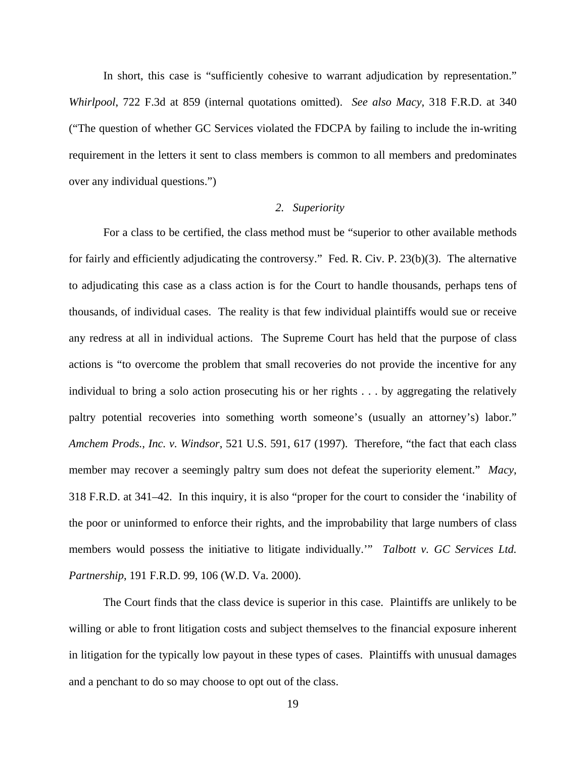In short, this case is "sufficiently cohesive to warrant adjudication by representation." *Whirlpool*, 722 F.3d at 859 (internal quotations omitted). *See also Macy*, 318 F.R.D. at 340 ("The question of whether GC Services violated the FDCPA by failing to include the in-writing requirement in the letters it sent to class members is common to all members and predominates over any individual questions.")

## *2. Superiority*

For a class to be certified, the class method must be "superior to other available methods for fairly and efficiently adjudicating the controversy." Fed. R. Civ. P. 23(b)(3). The alternative to adjudicating this case as a class action is for the Court to handle thousands, perhaps tens of thousands, of individual cases. The reality is that few individual plaintiffs would sue or receive any redress at all in individual actions. The Supreme Court has held that the purpose of class actions is "to overcome the problem that small recoveries do not provide the incentive for any individual to bring a solo action prosecuting his or her rights . . . by aggregating the relatively paltry potential recoveries into something worth someone's (usually an attorney's) labor." *Amchem Prods., Inc. v. Windsor*, 521 U.S. 591, 617 (1997). Therefore, "the fact that each class member may recover a seemingly paltry sum does not defeat the superiority element." *Macy*, 318 F.R.D. at 341–42. In this inquiry, it is also "proper for the court to consider the 'inability of the poor or uninformed to enforce their rights, and the improbability that large numbers of class members would possess the initiative to litigate individually.'" *Talbott v. GC Services Ltd. Partnership*, 191 F.R.D. 99, 106 (W.D. Va. 2000).

 The Court finds that the class device is superior in this case. Plaintiffs are unlikely to be willing or able to front litigation costs and subject themselves to the financial exposure inherent in litigation for the typically low payout in these types of cases. Plaintiffs with unusual damages and a penchant to do so may choose to opt out of the class.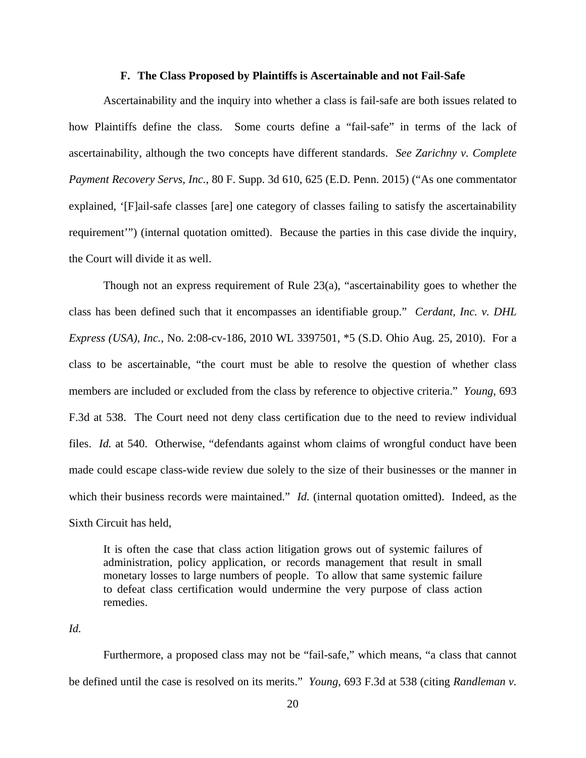#### **F. The Class Proposed by Plaintiffs is Ascertainable and not Fail-Safe**

Ascertainability and the inquiry into whether a class is fail-safe are both issues related to how Plaintiffs define the class. Some courts define a "fail-safe" in terms of the lack of ascertainability, although the two concepts have different standards. *See Zarichny v. Complete Payment Recovery Servs, Inc.*, 80 F. Supp. 3d 610, 625 (E.D. Penn. 2015) ("As one commentator explained, '[F]ail-safe classes [are] one category of classes failing to satisfy the ascertainability requirement'") (internal quotation omitted). Because the parties in this case divide the inquiry, the Court will divide it as well.

Though not an express requirement of Rule 23(a), "ascertainability goes to whether the class has been defined such that it encompasses an identifiable group." *Cerdant, Inc. v. DHL Express (USA), Inc.*, No. 2:08-cv-186, 2010 WL 3397501, \*5 (S.D. Ohio Aug. 25, 2010). For a class to be ascertainable, "the court must be able to resolve the question of whether class members are included or excluded from the class by reference to objective criteria." *Young*, 693 F.3d at 538. The Court need not deny class certification due to the need to review individual files. *Id.* at 540. Otherwise, "defendants against whom claims of wrongful conduct have been made could escape class-wide review due solely to the size of their businesses or the manner in which their business records were maintained." *Id.* (internal quotation omitted). Indeed, as the Sixth Circuit has held,

It is often the case that class action litigation grows out of systemic failures of administration, policy application, or records management that result in small monetary losses to large numbers of people. To allow that same systemic failure to defeat class certification would undermine the very purpose of class action remedies.

*Id.*

 Furthermore, a proposed class may not be "fail-safe," which means, "a class that cannot be defined until the case is resolved on its merits." *Young*, 693 F.3d at 538 (citing *Randleman v.*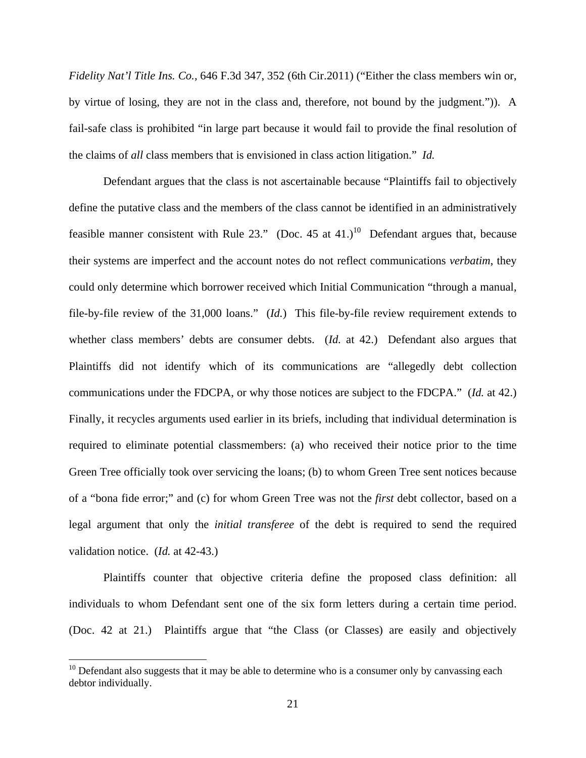*Fidelity Nat'l Title Ins. Co.,* 646 F.3d 347, 352 (6th Cir.2011) ("Either the class members win or, by virtue of losing, they are not in the class and, therefore, not bound by the judgment.")). A fail-safe class is prohibited "in large part because it would fail to provide the final resolution of the claims of *all* class members that is envisioned in class action litigation." *Id.*

 Defendant argues that the class is not ascertainable because "Plaintiffs fail to objectively define the putative class and the members of the class cannot be identified in an administratively feasible manner consistent with Rule 23." (Doc. 45 at 41.)<sup>10</sup> Defendant argues that, because their systems are imperfect and the account notes do not reflect communications *verbatim*, they could only determine which borrower received which Initial Communication "through a manual, file-by-file review of the 31,000 loans." (*Id.*) This file-by-file review requirement extends to whether class members' debts are consumer debts. (*Id.* at 42.) Defendant also argues that Plaintiffs did not identify which of its communications are "allegedly debt collection communications under the FDCPA, or why those notices are subject to the FDCPA." (*Id.* at 42.) Finally, it recycles arguments used earlier in its briefs, including that individual determination is required to eliminate potential classmembers: (a) who received their notice prior to the time Green Tree officially took over servicing the loans; (b) to whom Green Tree sent notices because of a "bona fide error;" and (c) for whom Green Tree was not the *first* debt collector, based on a legal argument that only the *initial transferee* of the debt is required to send the required validation notice. (*Id.* at 42-43.)

 Plaintiffs counter that objective criteria define the proposed class definition: all individuals to whom Defendant sent one of the six form letters during a certain time period. (Doc. 42 at 21.) Plaintiffs argue that "the Class (or Classes) are easily and objectively

 $\overline{a}$ 

 $10$  Defendant also suggests that it may be able to determine who is a consumer only by canvassing each debtor individually.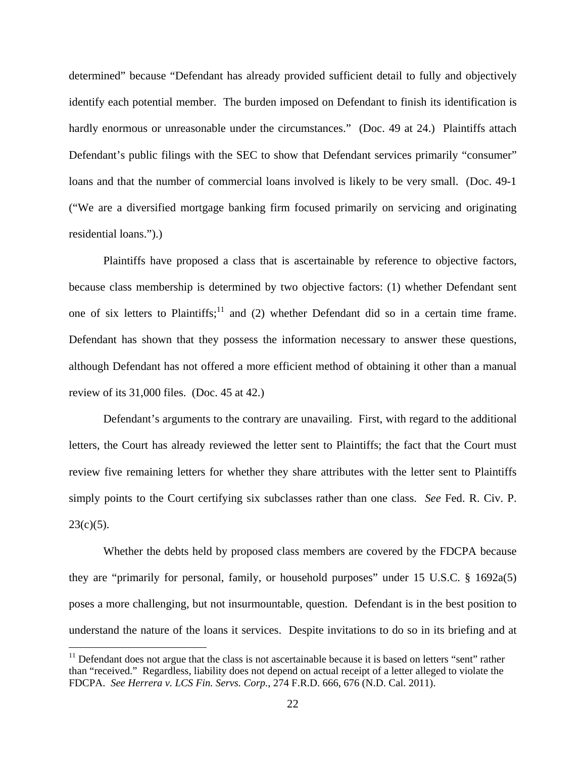determined" because "Defendant has already provided sufficient detail to fully and objectively identify each potential member. The burden imposed on Defendant to finish its identification is hardly enormous or unreasonable under the circumstances." (Doc. 49 at 24.) Plaintiffs attach Defendant's public filings with the SEC to show that Defendant services primarily "consumer" loans and that the number of commercial loans involved is likely to be very small. (Doc. 49-1 ("We are a diversified mortgage banking firm focused primarily on servicing and originating residential loans.").)

 Plaintiffs have proposed a class that is ascertainable by reference to objective factors, because class membership is determined by two objective factors: (1) whether Defendant sent one of six letters to Plaintiffs;<sup>11</sup> and (2) whether Defendant did so in a certain time frame. Defendant has shown that they possess the information necessary to answer these questions, although Defendant has not offered a more efficient method of obtaining it other than a manual review of its 31,000 files. (Doc. 45 at 42.)

 Defendant's arguments to the contrary are unavailing. First, with regard to the additional letters, the Court has already reviewed the letter sent to Plaintiffs; the fact that the Court must review five remaining letters for whether they share attributes with the letter sent to Plaintiffs simply points to the Court certifying six subclasses rather than one class. *See* Fed. R. Civ. P.  $23(c)(5)$ .

Whether the debts held by proposed class members are covered by the FDCPA because they are "primarily for personal, family, or household purposes" under 15 U.S.C. § 1692a(5) poses a more challenging, but not insurmountable, question. Defendant is in the best position to understand the nature of the loans it services. Despite invitations to do so in its briefing and at

<u>.</u>

 $11$  Defendant does not argue that the class is not ascertainable because it is based on letters "sent" rather than "received." Regardless, liability does not depend on actual receipt of a letter alleged to violate the FDCPA. *See Herrera v. LCS Fin. Servs. Corp.*, 274 F.R.D. 666, 676 (N.D. Cal. 2011).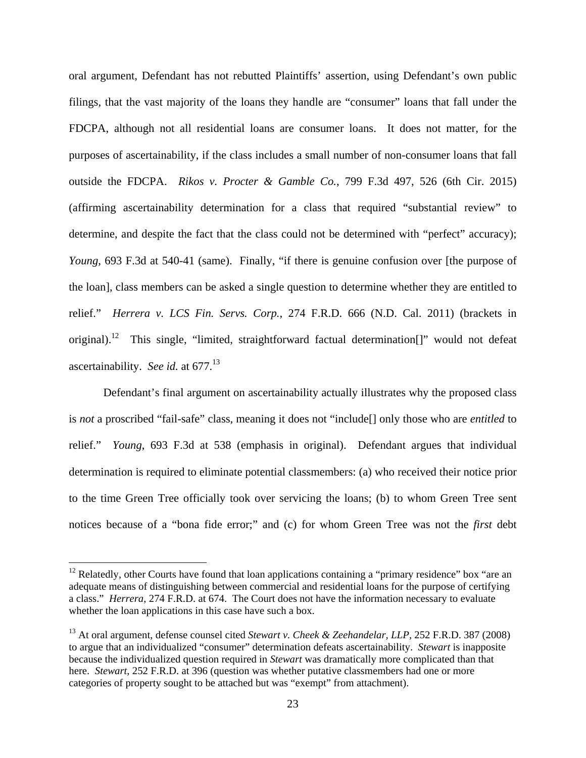oral argument, Defendant has not rebutted Plaintiffs' assertion, using Defendant's own public filings, that the vast majority of the loans they handle are "consumer" loans that fall under the FDCPA, although not all residential loans are consumer loans. It does not matter, for the purposes of ascertainability, if the class includes a small number of non-consumer loans that fall outside the FDCPA. *Rikos v. Procter & Gamble Co.*, 799 F.3d 497, 526 (6th Cir. 2015) (affirming ascertainability determination for a class that required "substantial review" to determine, and despite the fact that the class could not be determined with "perfect" accuracy); *Young*, 693 F.3d at 540-41 (same). Finally, "if there is genuine confusion over [the purpose of the loan], class members can be asked a single question to determine whether they are entitled to relief." *Herrera v. LCS Fin. Servs. Corp.*, 274 F.R.D. 666 (N.D. Cal. 2011) (brackets in original).<sup>12</sup> This single, "limited, straightforward factual determination<sup>[]"</sup> would not defeat ascertainability. *See id.* at 677.<sup>13</sup>

Defendant's final argument on ascertainability actually illustrates why the proposed class is *not* a proscribed "fail-safe" class, meaning it does not "include[] only those who are *entitled* to relief." *Young*, 693 F.3d at 538 (emphasis in original). Defendant argues that individual determination is required to eliminate potential classmembers: (a) who received their notice prior to the time Green Tree officially took over servicing the loans; (b) to whom Green Tree sent notices because of a "bona fide error;" and (c) for whom Green Tree was not the *first* debt

 $\overline{a}$ 

 $12$  Relatedly, other Courts have found that loan applications containing a "primary residence" box "are an adequate means of distinguishing between commercial and residential loans for the purpose of certifying a class." *Herrera*, 274 F.R.D. at 674. The Court does not have the information necessary to evaluate whether the loan applications in this case have such a box.

<sup>13</sup> At oral argument, defense counsel cited *Stewart v. Cheek & Zeehandelar, LLP*, 252 F.R.D. 387 (2008) to argue that an individualized "consumer" determination defeats ascertainability. *Stewart* is inapposite because the individualized question required in *Stewart* was dramatically more complicated than that here. *Stewart*, 252 F.R.D. at 396 (question was whether putative classmembers had one or more categories of property sought to be attached but was "exempt" from attachment).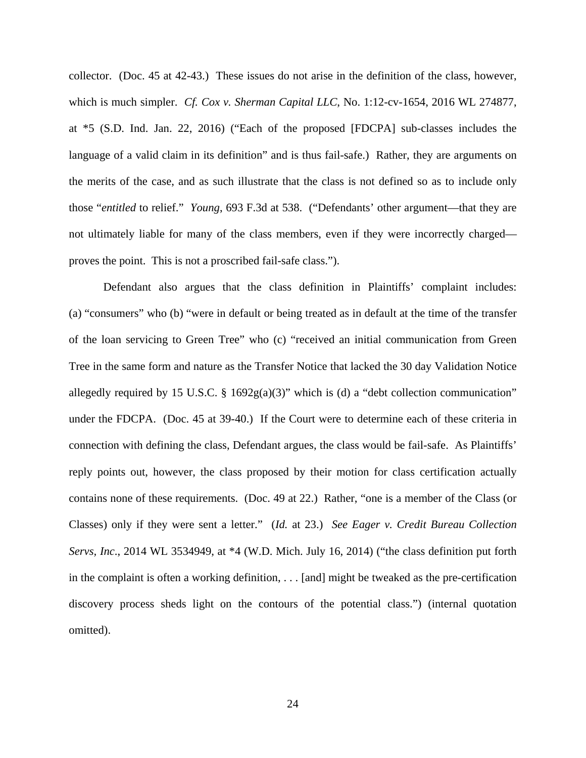collector. (Doc. 45 at 42-43.) These issues do not arise in the definition of the class, however, which is much simpler. *Cf. Cox v. Sherman Capital LLC*, No. 1:12-cv-1654, 2016 WL 274877, at \*5 (S.D. Ind. Jan. 22, 2016) ("Each of the proposed [FDCPA] sub-classes includes the language of a valid claim in its definition" and is thus fail-safe.) Rather, they are arguments on the merits of the case, and as such illustrate that the class is not defined so as to include only those "*entitled* to relief." *Young*, 693 F.3d at 538. ("Defendants' other argument—that they are not ultimately liable for many of the class members, even if they were incorrectly charged proves the point. This is not a proscribed fail-safe class.").

Defendant also argues that the class definition in Plaintiffs' complaint includes: (a) "consumers" who (b) "were in default or being treated as in default at the time of the transfer of the loan servicing to Green Tree" who (c) "received an initial communication from Green Tree in the same form and nature as the Transfer Notice that lacked the 30 day Validation Notice allegedly required by 15 U.S.C.  $\S$  1692g(a)(3)" which is (d) a "debt collection communication" under the FDCPA. (Doc. 45 at 39-40.) If the Court were to determine each of these criteria in connection with defining the class, Defendant argues, the class would be fail-safe. As Plaintiffs' reply points out, however, the class proposed by their motion for class certification actually contains none of these requirements. (Doc. 49 at 22.) Rather, "one is a member of the Class (or Classes) only if they were sent a letter." (*Id.* at 23.) *See Eager v. Credit Bureau Collection Servs, Inc*., 2014 WL 3534949, at \*4 (W.D. Mich. July 16, 2014) ("the class definition put forth in the complaint is often a working definition, . . . [and] might be tweaked as the pre-certification discovery process sheds light on the contours of the potential class.") (internal quotation omitted).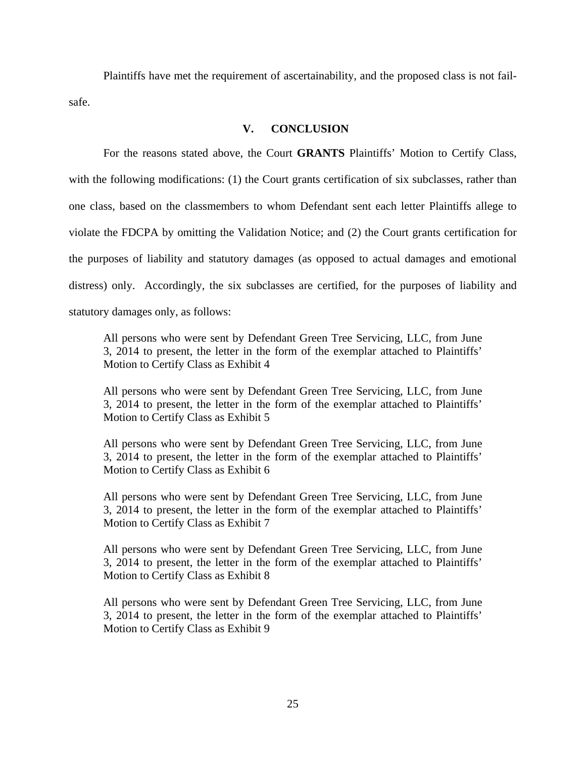Plaintiffs have met the requirement of ascertainability, and the proposed class is not failsafe.

# **V. CONCLUSION**

For the reasons stated above, the Court **GRANTS** Plaintiffs' Motion to Certify Class, with the following modifications: (1) the Court grants certification of six subclasses, rather than one class, based on the classmembers to whom Defendant sent each letter Plaintiffs allege to violate the FDCPA by omitting the Validation Notice; and (2) the Court grants certification for the purposes of liability and statutory damages (as opposed to actual damages and emotional distress) only. Accordingly, the six subclasses are certified, for the purposes of liability and statutory damages only, as follows:

All persons who were sent by Defendant Green Tree Servicing, LLC, from June 3, 2014 to present, the letter in the form of the exemplar attached to Plaintiffs' Motion to Certify Class as Exhibit 4

All persons who were sent by Defendant Green Tree Servicing, LLC, from June 3, 2014 to present, the letter in the form of the exemplar attached to Plaintiffs' Motion to Certify Class as Exhibit 5

All persons who were sent by Defendant Green Tree Servicing, LLC, from June 3, 2014 to present, the letter in the form of the exemplar attached to Plaintiffs' Motion to Certify Class as Exhibit 6

All persons who were sent by Defendant Green Tree Servicing, LLC, from June 3, 2014 to present, the letter in the form of the exemplar attached to Plaintiffs' Motion to Certify Class as Exhibit 7

All persons who were sent by Defendant Green Tree Servicing, LLC, from June 3, 2014 to present, the letter in the form of the exemplar attached to Plaintiffs' Motion to Certify Class as Exhibit 8

All persons who were sent by Defendant Green Tree Servicing, LLC, from June 3, 2014 to present, the letter in the form of the exemplar attached to Plaintiffs' Motion to Certify Class as Exhibit 9